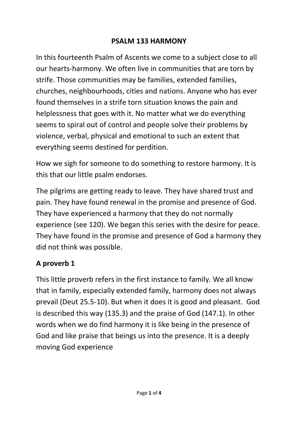#### **PSALM 133 HARMONY**

In this fourteenth Psalm of Ascents we come to a subject close to all our hearts-harmony. We often live in communities that are torn by strife. Those communities may be families, extended families, churches, neighbourhoods, cities and nations. Anyone who has ever found themselves in a strife torn situation knows the pain and helplessness that goes with it. No matter what we do everything seems to spiral out of control and people solve their problems by violence, verbal, physical and emotional to such an extent that everything seems destined for perdition.

How we sigh for someone to do something to restore harmony. It is this that our little psalm endorses.

The pilgrims are getting ready to leave. They have shared trust and pain. They have found renewal in the promise and presence of God. They have experienced a harmony that they do not normally experience (see 120). We began this series with the desire for peace. They have found in the promise and presence of God a harmony they did not think was possible.

# **A proverb 1**

This little proverb refers in the first instance to family. We all know that in family, especially extended family, harmony does not always prevail (Deut 25.5-10). But when it does it is good and pleasant. God is described this way (135.3) and the praise of God (147.1). In other words when we do find harmony it is like being in the presence of God and like praise that beings us into the presence. It is a deeply moving God experience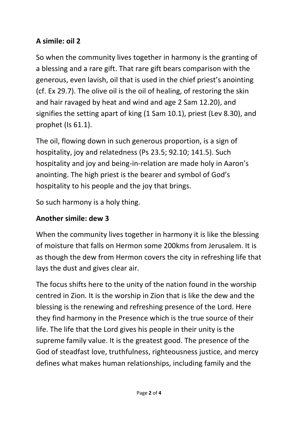### **A simile: oil 2**

So when the community lives together in harmony is the granting of a blessing and a rare gift. That rare gift bears comparison with the generous, even lavish, oil that is used in the chief priest's anointing (cf. Ex 29.7). The olive oil is the oil of healing, of restoring the skin and hair ravaged by heat and wind and age 2 Sam 12.20), and signifies the setting apart of king (1 Sam 10.1), priest (Lev 8.30), and prophet (Is 61.1).

The oil, flowing down in such generous proportion, is a sign of hospitality, joy and relatedness (Ps 23.5; 92.10; 141.5). Such hospitality and joy and being-in-relation are made holy in Aaron's anointing. The high priest is the bearer and symbol of God's hospitality to his people and the joy that brings.

So such harmony is a holy thing.

### **Another simile: dew 3**

When the community lives together in harmony it is like the blessing of moisture that falls on Hermon some 200kms from Jerusalem. It is as though the dew from Hermon covers the city in refreshing life that lays the dust and gives clear air.

The focus shifts here to the unity of the nation found in the worship centred in Zion. It is the worship in Zion that is like the dew and the blessing is the renewing and refreshing presence of the Lord. Here they find harmony in the Presence which is the true source of their life. The life that the Lord gives his people in their unity is the supreme family value. It is the greatest good. The presence of the God of steadfast love, truthfulness, righteousness justice, and mercy defines what makes human relationships, including family and the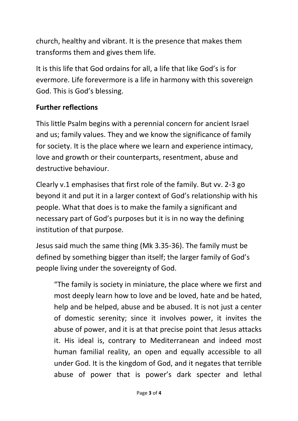church, healthy and vibrant. It is the presence that makes them transforms them and gives them life.

It is this life that God ordains for all, a life that like God's is for evermore. Life forevermore is a life in harmony with this sovereign God. This is God's blessing.

### **Further reflections**

This little Psalm begins with a perennial concern for ancient Israel and us; family values. They and we know the significance of family for society. It is the place where we learn and experience intimacy, love and growth or their counterparts, resentment, abuse and destructive behaviour.

Clearly v.1 emphasises that first role of the family. But vv. 2-3 go beyond it and put it in a larger context of God's relationship with his people. What that does is to make the family a significant and necessary part of God's purposes but it is in no way the defining institution of that purpose.

Jesus said much the same thing (Mk 3.35-36). The family must be defined by something bigger than itself; the larger family of God's people living under the sovereignty of God.

"The family is society in miniature, the place where we first and most deeply learn how to love and be loved, hate and be hated, help and be helped, abuse and be abused. It is not just a center of domestic serenity; since it involves power, it invites the abuse of power, and it is at that precise point that Jesus attacks it. His ideal is, contrary to Mediterranean and indeed most human familial reality, an open and equally accessible to all under God. It is the kingdom of God, and it negates that terrible abuse of power that is power's dark specter and lethal